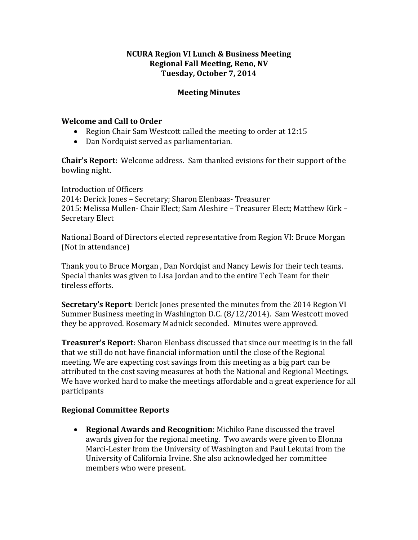# **NCURA Region VI Lunch & Business Meeting Regional Fall Meeting, Reno, NV Tuesday, October 7, 2014**

## **Meeting Minutes**

### **Welcome and Call to Order**

- Region Chair Sam Westcott called the meeting to order at 12:15
- Dan Nordquist served as parliamentarian.

**Chair's Report**: Welcome address. Sam thanked evisions for their support of the bowling night.

Introduction of Officers 2014: Derick Jones – Secretary; Sharon Elenbaas- Treasurer 2015: Melissa Mullen- Chair Elect; Sam Aleshire – Treasurer Elect; Matthew Kirk – Secretary Elect

National Board of Directors elected representative from Region VI: Bruce Morgan (Not in attendance)

Thank you to Bruce Morgan , Dan Nordqist and Nancy Lewis for their tech teams. Special thanks was given to Lisa Jordan and to the entire Tech Team for their tireless efforts.

**Secretary's Report**: Derick Jones presented the minutes from the 2014 Region VI Summer Business meeting in Washington D.C. (8/12/2014). Sam Westcott moved they be approved. Rosemary Madnick seconded. Minutes were approved.

**Treasurer's Report**: Sharon Elenbass discussed that since our meeting is in the fall that we still do not have financial information until the close of the Regional meeting. We are expecting cost savings from this meeting as a big part can be attributed to the cost saving measures at both the National and Regional Meetings. We have worked hard to make the meetings affordable and a great experience for all participants

# **Regional Committee Reports**

 **Regional Awards and Recognition**: Michiko Pane discussed the travel awards given for the regional meeting. Two awards were given to Elonna Marci-Lester from the University of Washington and Paul Lekutai from the University of California Irvine. She also acknowledged her committee members who were present.